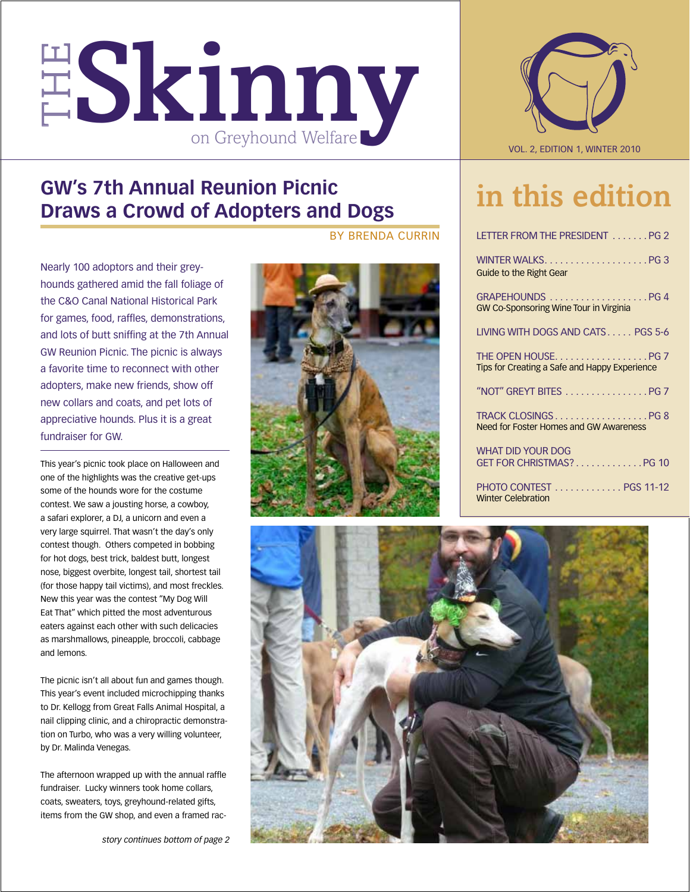



## **GW's 7th Annual Reunion Picnic Draws a Crowd of Adopters and Dogs**

Nearly 100 adoptors and their greyhounds gathered amid the fall foliage of the C&O Canal National Historical Park for games, food, raffles, demonstrations, and lots of butt sniffing at the 7th Annual GW Reunion Picnic. The picnic is always a favorite time to reconnect with other adopters, make new friends, show off new collars and coats, and pet lots of appreciative hounds. Plus it is a great fundraiser for GW.

This year's picnic took place on Halloween and one of the highlights was the creative get-ups some of the hounds wore for the costume contest. We saw a jousting horse, a cowboy, a safari explorer, a DJ, a unicorn and even a very large squirrel. That wasn't the day's only contest though. Others competed in bobbing for hot dogs, best trick, baldest butt, longest nose, biggest overbite, longest tail, shortest tail (for those happy tail victims), and most freckles. New this year was the contest "My Dog Will Eat That" which pitted the most adventurous eaters against each other with such delicacies as marshmallows, pineapple, broccoli, cabbage and lemons.

The picnic isn't all about fun and games though. This year's event included microchipping thanks to Dr. Kellogg from Great Falls Animal Hospital, a nail clipping clinic, and a chiropractic demonstration on Turbo, who was a very willing volunteer, by Dr. Malinda Venegas.

The afternoon wrapped up with the annual raffle fundraiser. Lucky winners took home collars, coats, sweaters, toys, greyhound-related gifts, items from the GW shop, and even a framed racby Brenda Currin



## in this edition

| LETTER FROM THE PRESIDENT PG 2                                      |  |
|---------------------------------------------------------------------|--|
| <b>Guide to the Right Gear</b>                                      |  |
| GRAPEHOUNDS PG 4<br><b>GW Co-Sponsoring Wine Tour in Virginia</b>   |  |
| LIVING WITH DOGS AND CATS PGS 5-6                                   |  |
| THE OPEN HOUSEPG 7<br>Tips for Creating a Safe and Happy Experience |  |
| "NOT" GREYT BITES PG 7                                              |  |
| TRACK CLOSINGSPG 8<br><b>Need for Foster Homes and GW Awareness</b> |  |
| <b>WHAT DID YOUR DOG</b><br>GET FOR CHRISTMAS?PG 10                 |  |
| <b>PHOTO CONTEST</b> PGS 11-12<br><b>Winter Celebration</b>         |  |

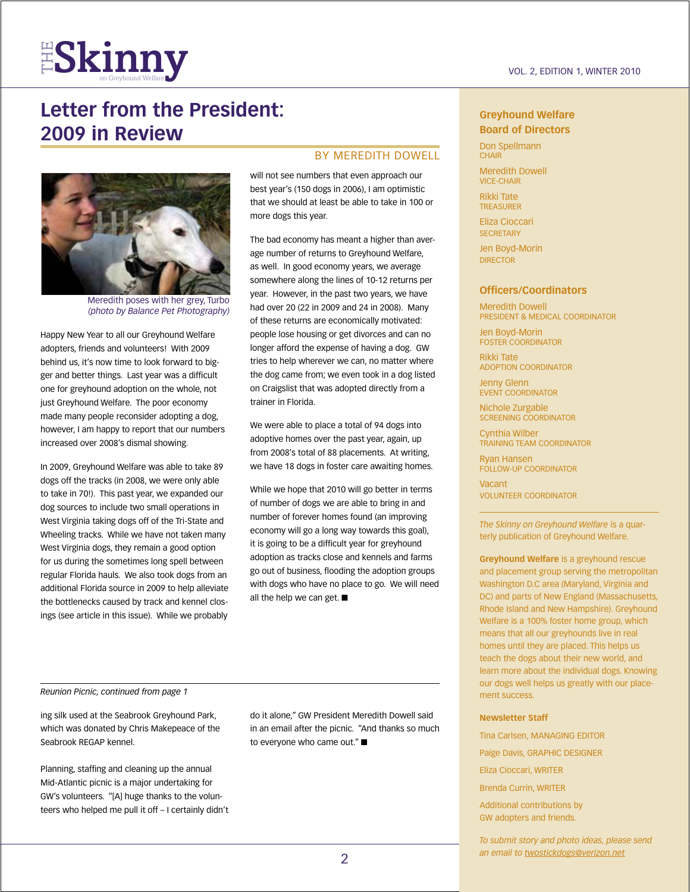

## **Letter from the President: 2009 in Review**



Meredith poses with her grey, Turbo *(photo by Balance Pet Photography)* 

Happy New Year to all our Greyhound Welfare adopters, friends and volunteers! With 2009 behind us, it's now time to look forward to bigger and better things. Last year was a difficult one for greyhound adoption on the whole, not just Greyhound Welfare. The poor economy made many people reconsider adopting a dog, however, I am happy to report that our numbers increased over 2008's dismal showing.

In 2009, Greyhound Welfare was able to take 89 dogs off the tracks (in 2008, we were only able to take in 70!). This past year, we expanded our dog sources to include two small operations in West Virginia taking dogs off of the Tri-State and Wheeling tracks. While we have not taken many West Virginia dogs, they remain a good option for us during the sometimes long spell between regular Florida hauls. We also took dogs from an additional Florida source in 2009 to help alleviate the bottlenecks caused by track and kennel closings (see article in this issue). While we probably

#### BY MEREDITH DOWELL

will not see numbers that even approach our best year's (150 dogs in 2006), I am optimistic that we should at least be able to take in 100 or more dogs this year.

The bad economy has meant a higher than average number of returns to Greyhound Welfare, as well. In good economy years, we average somewhere along the lines of 10-12 returns per year. However, in the past two years, we have had over 20 (22 in 2009 and 24 in 2008). Many of these returns are economically motivated: people lose housing or get divorces and can no longer afford the expense of having a dog. GW tries to help wherever we can, no matter where the dog came from; we even took in a dog listed on Craigslist that was adopted directly from a trainer in Florida.

We were able to place a total of 94 dogs into adoptive homes over the past year, again, up from 2008's total of 88 placements. At writing, we have 18 dogs in foster care awaiting homes.

While we hope that 2010 will go better in terms of number of dogs we are able to bring in and number of forever homes found (an improving economy will go a long way towards this goal), it is going to be a difficult year for greyhound adoption as tracks close and kennels and farms go out of business, flooding the adoption groups with dogs who have no place to go. We will need all the help we can get.  $\blacksquare$ 

#### *Reunion Picnic, continued from page 1*

ing silk used at the Seabrook Greyhound Park, which was donated by Chris Makepeace of the Seabrook REGAP kennel.

Planning, staffing and cleaning up the annual Mid-Atlantic picnic is a major undertaking for GW's volunteers. "[A] huge thanks to the volunteers who helped me pull it off – I certainly didn't

do it alone," GW President Meredith Dowell said in an email after the picnic. "And thanks so much to everyone who came out." $\square$ 

#### **Greyhound Welfare Board of Directors**

Don Spellmann **CHAIR** 

Meredith Dowell Vice-Chair

Rikki Tate **TREASURER** 

Eliza Cioccari **SECRETARY** 

Jen Boyd-Morin **DIRECTOR** 

#### **Officers/Coordinators**

Meredith Dowell President & Medical Coordinator

Jen Boyd-Morin Foster Coordinator

Rikki Tate Adoption Coordinator

Jenny Glenn EVENT COORDINATOR

Nichole Zurgable Screening Coordinator

Cynthia Wilber Training Team Coordinator

Ryan Hansen Follow-up Coordinator

Vacant Volunteer Coordinator

*The Skinny on Greyhound Welfare* is a quarterly publication of Greyhound Welfare.

**Greyhound Welfare** is a greyhound rescue and placement group serving the metropolitan Washington D.C area (Maryland, Virginia and DC) and parts of New England (Massachusetts, Rhode Island and New Hampshire). Greyhound Welfare is a 100% foster home group, which means that all our greyhounds live in real homes until they are placed. This helps us teach the dogs about their new world, and learn more about the individual dogs. Knowing our dogs well helps us greatly with our placement success.

#### **Newsletter Staff**

Tina Carlsen, MANAGING EDITOR

Paige Davis, GRAPHIC DESIGNER

Eliza Cioccari, WRITER

Brenda Currin, WRITER

Additional contributions by GW adopters and friends.

*To submit story and photo ideas, please send an email to twostickdogs@verizon.net*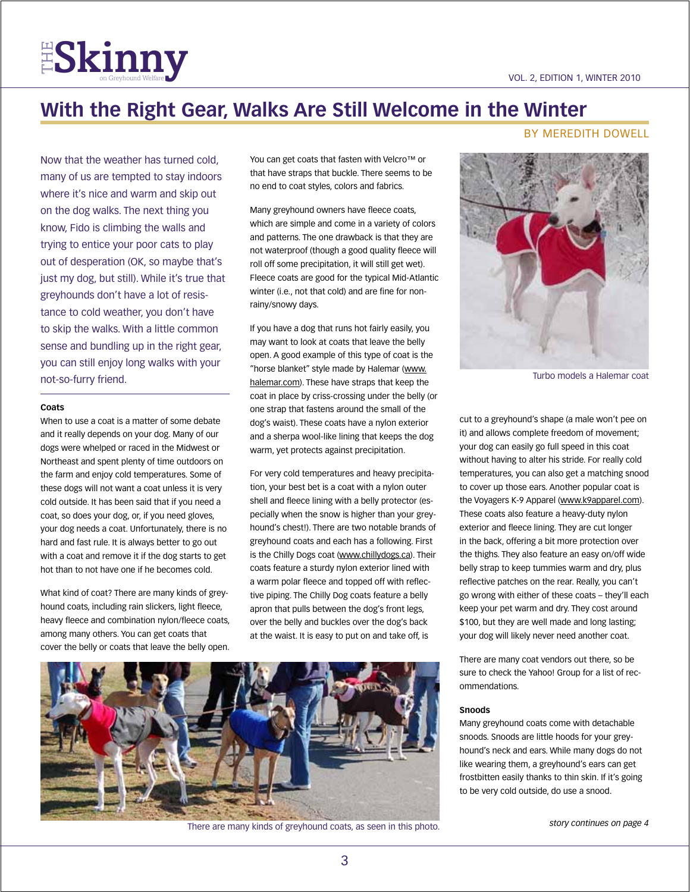

## **With the Right Gear, Walks Are Still Welcome in the Winter**

Now that the weather has turned cold, many of us are tempted to stay indoors where it's nice and warm and skip out on the dog walks. The next thing you know, Fido is climbing the walls and trying to entice your poor cats to play out of desperation (OK, so maybe that's just my dog, but still). While it's true that greyhounds don't have a lot of resistance to cold weather, you don't have to skip the walks. With a little common sense and bundling up in the right gear, you can still enjoy long walks with your not-so-furry friend.

#### **Coats**

When to use a coat is a matter of some debate and it really depends on your dog. Many of our dogs were whelped or raced in the Midwest or Northeast and spent plenty of time outdoors on the farm and enjoy cold temperatures. Some of these dogs will not want a coat unless it is very cold outside. It has been said that if you need a coat, so does your dog, or, if you need gloves, your dog needs a coat. Unfortunately, there is no hard and fast rule. It is always better to go out with a coat and remove it if the dog starts to get hot than to not have one if he becomes cold.

What kind of coat? There are many kinds of greyhound coats, including rain slickers, light fleece, heavy fleece and combination nylon/fleece coats, among many others. You can get coats that cover the belly or coats that leave the belly open.

You can get coats that fasten with Velcro™ or that have straps that buckle. There seems to be no end to coat styles, colors and fabrics.

Many greyhound owners have fleece coats, which are simple and come in a variety of colors and patterns. The one drawback is that they are not waterproof (though a good quality fleece will roll off some precipitation, it will still get wet). Fleece coats are good for the typical Mid-Atlantic winter (i.e., not that cold) and are fine for nonrainy/snowy days.

If you have a dog that runs hot fairly easily, you may want to look at coats that leave the belly open. A good example of this type of coat is the "horse blanket" style made by Halemar (www. halemar.com). These have straps that keep the coat in place by criss-crossing under the belly (or one strap that fastens around the small of the dog's waist). These coats have a nylon exterior and a sherpa wool-like lining that keeps the dog warm, yet protects against precipitation.

For very cold temperatures and heavy precipitation, your best bet is a coat with a nylon outer shell and fleece lining with a belly protector (especially when the snow is higher than your greyhound's chest!). There are two notable brands of greyhound coats and each has a following. First is the Chilly Dogs coat (www.chillydogs.ca). Their coats feature a sturdy nylon exterior lined with a warm polar fleece and topped off with reflective piping. The Chilly Dog coats feature a belly apron that pulls between the dog's front legs, over the belly and buckles over the dog's back at the waist. It is easy to put on and take off, is



There are many kinds of greyhound coats, as seen in this photo.

#### By Meredith Dowell



Turbo models a Halemar coat

cut to a greyhound's shape (a male won't pee on it) and allows complete freedom of movement; your dog can easily go full speed in this coat without having to alter his stride. For really cold temperatures, you can also get a matching snood to cover up those ears. Another popular coat is the Voyagers K-9 Apparel (www.k9apparel.com). These coats also feature a heavy-duty nylon exterior and fleece lining. They are cut longer in the back, offering a bit more protection over the thighs. They also feature an easy on/off wide belly strap to keep tummies warm and dry, plus reflective patches on the rear. Really, you can't go wrong with either of these coats – they'll each keep your pet warm and dry. They cost around \$100, but they are well made and long lasting; your dog will likely never need another coat.

There are many coat vendors out there, so be sure to check the Yahoo! Group for a list of recommendations.

#### **Snoods**

Many greyhound coats come with detachable snoods. Snoods are little hoods for your greyhound's neck and ears. While many dogs do not like wearing them, a greyhound's ears can get frostbitten easily thanks to thin skin. If it's going to be very cold outside, do use a snood.

*story continues on page 4*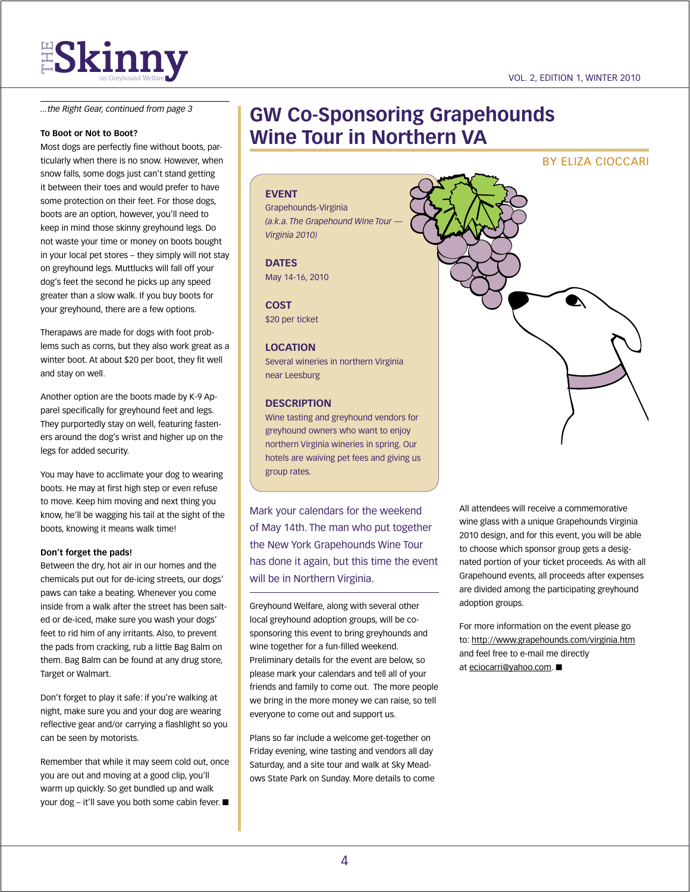*...the Right Gear, continued from page 3*

#### **To Boot or Not to Boot?**

Most dogs are perfectly fine without boots, particularly when there is no snow. However, when snow falls, some dogs just can't stand getting it between their toes and would prefer to have some protection on their feet. For those dogs, boots are an option, however, you'll need to keep in mind those skinny greyhound legs. Do not waste your time or money on boots bought in your local pet stores – they simply will not stay on greyhound legs. Muttlucks will fall off your dog's feet the second he picks up any speed greater than a slow walk. If you buy boots for your greyhound, there are a few options.

Therapaws are made for dogs with foot problems such as corns, but they also work great as a winter boot. At about \$20 per boot, they fit well and stay on well.

Another option are the boots made by K-9 Apparel specifically for greyhound feet and legs. They purportedly stay on well, featuring fasteners around the dog's wrist and higher up on the legs for added security.

You may have to acclimate your dog to wearing boots. He may at first high step or even refuse to move. Keep him moving and next thing you know, he'll be wagging his tail at the sight of the boots, knowing it means walk time!

#### **Don't forget the pads!**

Between the dry, hot air in our homes and the chemicals put out for de-icing streets, our dogs' paws can take a beating. Whenever you come inside from a walk after the street has been salted or de-iced, make sure you wash your dogs' feet to rid him of any irritants. Also, to prevent the pads from cracking, rub a little Bag Balm on them. Bag Balm can be found at any drug store, Target or Walmart.

Don't forget to play it safe: if you're walking at night, make sure you and your dog are wearing reflective gear and/or carrying a flashlight so you can be seen by motorists.

Remember that while it may seem cold out, once you are out and moving at a good clip, you'll warm up quickly. So get bundled up and walk your dog – it'll save you both some cabin fever.  $\blacksquare$ 

### **GW Co-Sponsoring Grapehounds Wine Tour in Northern VA**

#### By Eliza Cioccari

#### **EVENT**

Grapehounds-Virginia *(a.k.a. The Grapehound Wine Tour — Virginia 2010)*

**Dates** May 14-16, 2010

**Cost** \$20 per ticket

#### **Location**

Several wineries in northern Virginia near Leesburg

#### **Description**

Wine tasting and greyhound vendors for greyhound owners who want to enjoy northern Virginia wineries in spring. Our hotels are waiving pet fees and giving us group rates.

Mark your calendars for the weekend of May 14th. The man who put together the New York Grapehounds Wine Tour has done it again, but this time the event will be in Northern Virginia.

Greyhound Welfare, along with several other local greyhound adoption groups, will be cosponsoring this event to bring greyhounds and wine together for a fun-filled weekend. Preliminary details for the event are below, so please mark your calendars and tell all of your friends and family to come out. The more people we bring in the more money we can raise, so tell everyone to come out and support us.

Plans so far include a welcome get-together on Friday evening, wine tasting and vendors all day Saturday, and a site tour and walk at Sky Meadows State Park on Sunday. More details to come



All attendees will receive a commemorative wine glass with a unique Grapehounds Virginia 2010 design, and for this event, you will be able to choose which sponsor group gets a designated portion of your ticket proceeds. As with all Grapehound events, all proceeds after expenses are divided among the participating greyhound adoption groups.

For more information on the event please go to: http://www.grapehounds.com/virginia.htm and feel free to e-mail me directly at eciocarri@yahoo.com. ■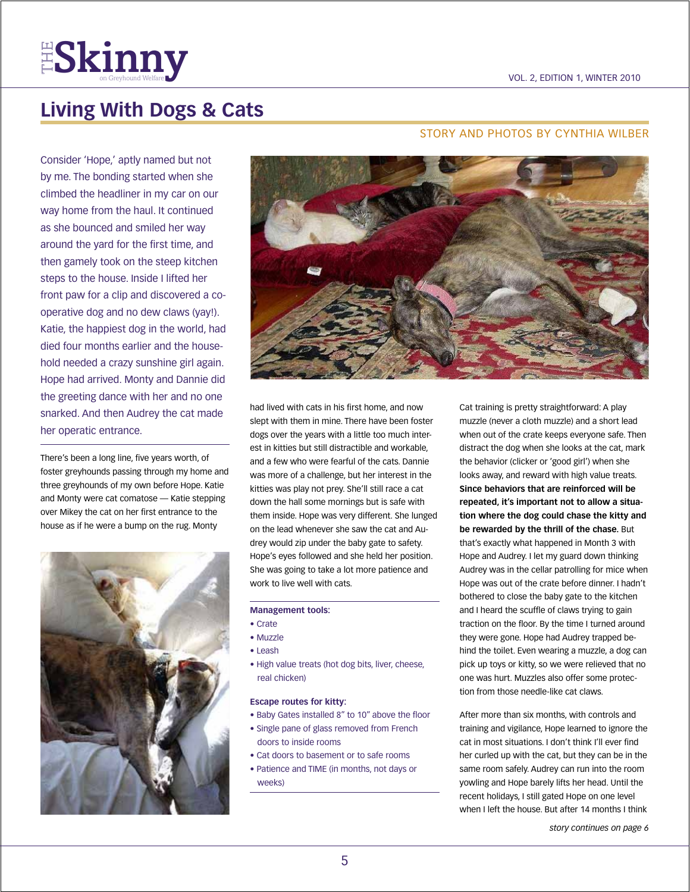

## **Living With Dogs & Cats**

Consider 'Hope,' aptly named but not by me. The bonding started when she climbed the headliner in my car on our way home from the haul. It continued as she bounced and smiled her way around the yard for the first time, and then gamely took on the steep kitchen steps to the house. Inside I lifted her front paw for a clip and discovered a cooperative dog and no dew claws (yay!). Katie, the happiest dog in the world, had died four months earlier and the household needed a crazy sunshine girl again. Hope had arrived. Monty and Dannie did the greeting dance with her and no one snarked. And then Audrey the cat made her operatic entrance.

There's been a long line, five years worth, of foster greyhounds passing through my home and three greyhounds of my own before Hope. Katie and Monty were cat comatose — Katie stepping over Mikey the cat on her first entrance to the house as if he were a bump on the rug. Monty



#### story and photos By Cynthia Wilber



had lived with cats in his first home, and now slept with them in mine. There have been foster dogs over the years with a little too much interest in kitties but still distractible and workable, and a few who were fearful of the cats. Dannie was more of a challenge, but her interest in the kitties was play not prey. She'll still race a cat down the hall some mornings but is safe with them inside. Hope was very different. She lunged on the lead whenever she saw the cat and Audrey would zip under the baby gate to safety. Hope's eyes followed and she held her position. She was going to take a lot more patience and work to live well with cats.

#### **Management tools:**

- Crate
- Muzzle
- Leash
- High value treats (hot dog bits, liver, cheese, real chicken)

#### **Escape routes for kitty:**

- Baby Gates installed 8" to 10" above the floor
- Single pane of glass removed from French doors to inside rooms
- Cat doors to basement or to safe rooms
- Patience and TIME (in months, not days or weeks)

Cat training is pretty straightforward: A play muzzle (never a cloth muzzle) and a short lead when out of the crate keeps everyone safe. Then distract the dog when she looks at the cat, mark the behavior (clicker or 'good girl') when she looks away, and reward with high value treats. **Since behaviors that are reinforced will be repeated, it's important not to allow a situation where the dog could chase the kitty and be rewarded by the thrill of the chase.** But that's exactly what happened in Month 3 with Hope and Audrey. I let my guard down thinking Audrey was in the cellar patrolling for mice when Hope was out of the crate before dinner. I hadn't bothered to close the baby gate to the kitchen and I heard the scuffle of claws trying to gain traction on the floor. By the time I turned around they were gone. Hope had Audrey trapped behind the toilet. Even wearing a muzzle, a dog can pick up toys or kitty, so we were relieved that no one was hurt. Muzzles also offer some protection from those needle-like cat claws.

After more than six months, with controls and training and vigilance, Hope learned to ignore the cat in most situations. I don't think I'll ever find her curled up with the cat, but they can be in the same room safely. Audrey can run into the room yowling and Hope barely lifts her head. Until the recent holidays, I still gated Hope on one level when I left the house. But after 14 months I think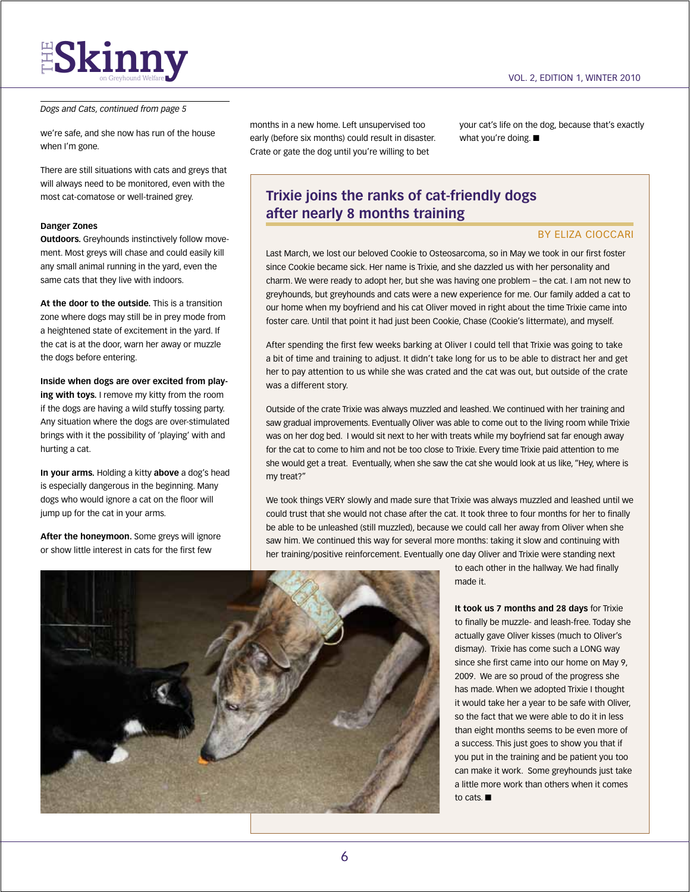#### *Dogs and Cats, continued from page 5*

we're safe, and she now has run of the house when I'm gone.

There are still situations with cats and greys that will always need to be monitored, even with the most cat-comatose or well-trained grey.

#### **Danger Zones**

**Outdoors.** Greyhounds instinctively follow movement. Most greys will chase and could easily kill any small animal running in the yard, even the same cats that they live with indoors.

**At the door to the outside.** This is a transition zone where dogs may still be in prey mode from a heightened state of excitement in the yard. If the cat is at the door, warn her away or muzzle the dogs before entering.

**Inside when dogs are over excited from playing with toys.** I remove my kitty from the room if the dogs are having a wild stuffy tossing party. Any situation where the dogs are over-stimulated brings with it the possibility of 'playing' with and hurting a cat.

**In your arms.** Holding a kitty **above** a dog's head is especially dangerous in the beginning. Many dogs who would ignore a cat on the floor will jump up for the cat in your arms.

**After the honeymoon.** Some greys will ignore or show little interest in cats for the first few

months in a new home. Left unsupervised too early (before six months) could result in disaster. Crate or gate the dog until you're willing to bet

your cat's life on the dog, because that's exactly what you're doing.  $\blacksquare$ 

#### **Trixie joins the ranks of cat-friendly dogs after nearly 8 months training**

#### By Eliza Cioccari

Last March, we lost our beloved Cookie to Osteosarcoma, so in May we took in our first foster since Cookie became sick. Her name is Trixie, and she dazzled us with her personality and charm. We were ready to adopt her, but she was having one problem – the cat. I am not new to greyhounds, but greyhounds and cats were a new experience for me. Our family added a cat to our home when my boyfriend and his cat Oliver moved in right about the time Trixie came into foster care. Until that point it had just been Cookie, Chase (Cookie's littermate), and myself.

After spending the first few weeks barking at Oliver I could tell that Trixie was going to take a bit of time and training to adjust. It didn't take long for us to be able to distract her and get her to pay attention to us while she was crated and the cat was out, but outside of the crate was a different story.

Outside of the crate Trixie was always muzzled and leashed. We continued with her training and saw gradual improvements. Eventually Oliver was able to come out to the living room while Trixie was on her dog bed. I would sit next to her with treats while my boyfriend sat far enough away for the cat to come to him and not be too close to Trixie. Every time Trixie paid attention to me she would get a treat. Eventually, when she saw the cat she would look at us like, "Hey, where is my treat?"

We took things VERY slowly and made sure that Trixie was always muzzled and leashed until we could trust that she would not chase after the cat. It took three to four months for her to finally be able to be unleashed (still muzzled), because we could call her away from Oliver when she saw him. We continued this way for several more months: taking it slow and continuing with her training/positive reinforcement. Eventually one day Oliver and Trixie were standing next



to each other in the hallway. We had finally made it.

**It took us 7 months and 28 days** for Trixie to finally be muzzle- and leash-free. Today she actually gave Oliver kisses (much to Oliver's dismay). Trixie has come such a LONG way since she first came into our home on May 9, 2009. We are so proud of the progress she has made. When we adopted Trixie I thought it would take her a year to be safe with Oliver, so the fact that we were able to do it in less than eight months seems to be even more of a success. This just goes to show you that if you put in the training and be patient you too can make it work. Some greyhounds just take a little more work than others when it comes to cats.  $\blacksquare$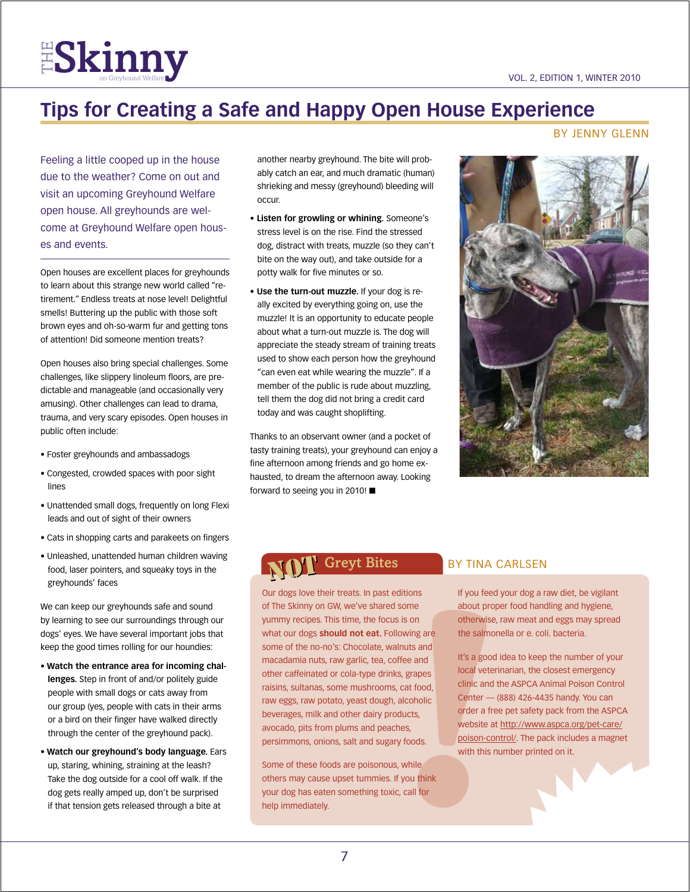

## **Tips for Creating a Safe and Happy Open House Experience**

#### By Jenny Glenn

Feeling a little cooped up in the house due to the weather? Come on out and visit an upcoming Greyhound Welfare open house. All greyhounds are welcome at Greyhound Welfare open houses and events.

Open houses are excellent places for greyhounds to learn about this strange new world called "retirement." Endless treats at nose level! Delightful smells! Buttering up the public with those soft brown eyes and oh-so-warm fur and getting tons of attention! Did someone mention treats?

Open houses also bring special challenges. Some challenges, like slippery linoleum floors, are predictable and manageable (and occasionally very amusing). Other challenges can lead to drama, trauma, and very scary episodes. Open houses in public often include:

- Foster greyhounds and ambassadogs
- Congested, crowded spaces with poor sight lines
- Unattended small dogs, frequently on long Flexi leads and out of sight of their owners
- Cats in shopping carts and parakeets on fingers
- Unleashed, unattended human children waving food, laser pointers, and squeaky toys in the greyhounds' faces

We can keep our greyhounds safe and sound by learning to see our surroundings through our dogs' eyes. We have several important jobs that keep the good times rolling for our houndies:

- **Watch the entrance area for incoming challenges.** Step in front of and/or politely guide people with small dogs or cats away from our group (yes, people with cats in their arms or a bird on their finger have walked directly through the center of the greyhound pack).
- **Watch our greyhound's body language.** Ears up, staring, whining, straining at the leash? Take the dog outside for a cool off walk. If the dog gets really amped up, don't be surprised if that tension gets released through a bite at

another nearby greyhound. The bite will probably catch an ear, and much dramatic (human) shrieking and messy (greyhound) bleeding will occur.

- **Listen for growling or whining.** Someone's stress level is on the rise. Find the stressed dog, distract with treats, muzzle (so they can't bite on the way out), and take outside for a potty walk for five minutes or so.
- **Use the turn-out muzzle.** If your dog is really excited by everything going on, use the muzzle! It is an opportunity to educate people about what a turn-out muzzle is. The dog will appreciate the steady stream of training treats used to show each person how the greyhound "can even eat while wearing the muzzle". If a member of the public is rude about muzzling, tell them the dog did not bring a credit card today and was caught shoplifting.

Thanks to an observant owner (and a pocket of tasty training treats), your greyhound can enjoy a fine afternoon among friends and go home exhausted, to dream the afternoon away. Looking forward to seeing you in 2010!  $\blacksquare$ 



## NOT NOT

below about protherwist<br>
is on therwist the salm<br>
is on the salm<br>
uts and<br>
fee and<br>
it's a go<br>
local vel<br>
local vel<br>
cal vel clinic and<br>
local vel clinic and<br>
clinic and<br>
clinic and<br>
clinic and<br>
clinic and<br>
clinic and<br>
cli Our dogs love their treats. In past editions of The Skinny on GW, we've shared some yummy recipes. This time, the focus is on what our dogs **should not eat.** Following are some of the no-no's: Chocolate, walnuts and macadamia nuts, raw garlic, tea, coffee and other caffeinated or cola-type drinks, grapes raisins, sultanas, some mushrooms, cat food, raw eggs, raw potato, yeast dough, alcoholic beverages, milk and other dairy products, avocado, pits from plums and peaches, persimmons, onions, salt and sugary foods.

Some of these foods are poisonous, while others may cause upset tummies. If you think your dog has eaten something toxic, call for help immediately.

#### BY TINA CARLSEN

If you feed your dog a raw diet, be vigilant about proper food handling and hygiene, otherwise, raw meat and eggs may spread the salmonella or e. coli. bacteria.

It's a good idea to keep the number of your local veterinarian, the closest emergency clinic and the ASPCA Animal Poison Control Center — (888) 426-4435 handy. You can order a free pet safety pack from the ASPCA website at http://www.aspca.org/pet-care/ poison-control/. The pack includes a magnet with this number printed on it.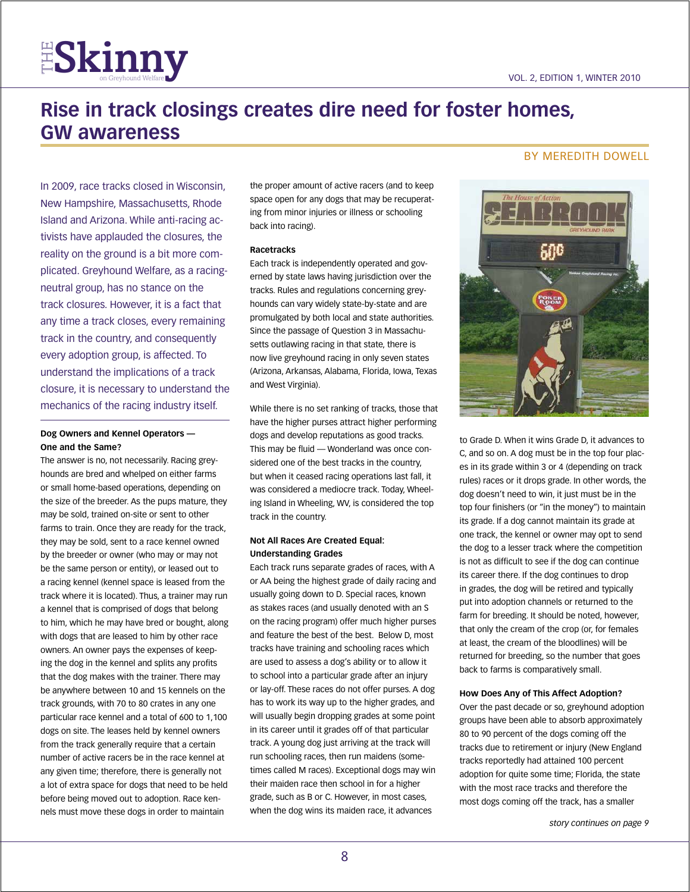## **Rise in track closings creates dire need for foster homes, GW awareness**

In 2009, race tracks closed in Wisconsin, New Hampshire, Massachusetts, Rhode Island and Arizona. While anti-racing activists have applauded the closures, the reality on the ground is a bit more complicated. Greyhound Welfare, as a racingneutral group, has no stance on the track closures. However, it is a fact that any time a track closes, every remaining track in the country, and consequently every adoption group, is affected. To understand the implications of a track closure, it is necessary to understand the mechanics of the racing industry itself.

**ESkinny** 

#### **Dog Owners and Kennel Operators — One and the Same?**

The answer is no, not necessarily. Racing greyhounds are bred and whelped on either farms or small home-based operations, depending on the size of the breeder. As the pups mature, they may be sold, trained on-site or sent to other farms to train. Once they are ready for the track, they may be sold, sent to a race kennel owned by the breeder or owner (who may or may not be the same person or entity), or leased out to a racing kennel (kennel space is leased from the track where it is located). Thus, a trainer may run a kennel that is comprised of dogs that belong to him, which he may have bred or bought, along with dogs that are leased to him by other race owners. An owner pays the expenses of keeping the dog in the kennel and splits any profits that the dog makes with the trainer. There may be anywhere between 10 and 15 kennels on the track grounds, with 70 to 80 crates in any one particular race kennel and a total of 600 to 1,100 dogs on site. The leases held by kennel owners from the track generally require that a certain number of active racers be in the race kennel at any given time; therefore, there is generally not a lot of extra space for dogs that need to be held before being moved out to adoption. Race kennels must move these dogs in order to maintain

the proper amount of active racers (and to keep space open for any dogs that may be recuperating from minor injuries or illness or schooling back into racing).

#### **Racetracks**

Each track is independently operated and governed by state laws having jurisdiction over the tracks. Rules and regulations concerning greyhounds can vary widely state-by-state and are promulgated by both local and state authorities. Since the passage of Question 3 in Massachusetts outlawing racing in that state, there is now live greyhound racing in only seven states (Arizona, Arkansas, Alabama, Florida, Iowa, Texas and West Virginia).

While there is no set ranking of tracks, those that have the higher purses attract higher performing dogs and develop reputations as good tracks. This may be fluid — Wonderland was once considered one of the best tracks in the country, but when it ceased racing operations last fall, it was considered a mediocre track. Today, Wheeling Island in Wheeling, WV, is considered the top track in the country.

#### **Not All Races Are Created Equal: Understanding Grades**

Each track runs separate grades of races, with A or AA being the highest grade of daily racing and usually going down to D. Special races, known as stakes races (and usually denoted with an S on the racing program) offer much higher purses and feature the best of the best. Below D, most tracks have training and schooling races which are used to assess a dog's ability or to allow it to school into a particular grade after an injury or lay-off. These races do not offer purses. A dog has to work its way up to the higher grades, and will usually begin dropping grades at some point in its career until it grades off of that particular track. A young dog just arriving at the track will run schooling races, then run maidens (sometimes called M races). Exceptional dogs may win their maiden race then school in for a higher grade, such as B or C. However, in most cases, when the dog wins its maiden race, it advances

#### By Meredith Dowell



to Grade D. When it wins Grade D, it advances to C, and so on. A dog must be in the top four places in its grade within 3 or 4 (depending on track rules) races or it drops grade. In other words, the dog doesn't need to win, it just must be in the top four finishers (or "in the money") to maintain its grade. If a dog cannot maintain its grade at one track, the kennel or owner may opt to send the dog to a lesser track where the competition is not as difficult to see if the dog can continue its career there. If the dog continues to drop in grades, the dog will be retired and typically put into adoption channels or returned to the farm for breeding. It should be noted, however, that only the cream of the crop (or, for females at least, the cream of the bloodlines) will be returned for breeding, so the number that goes back to farms is comparatively small.

#### **How Does Any of This Affect Adoption?**

Over the past decade or so, greyhound adoption groups have been able to absorb approximately 80 to 90 percent of the dogs coming off the tracks due to retirement or injury (New England tracks reportedly had attained 100 percent adoption for quite some time; Florida, the state with the most race tracks and therefore the most dogs coming off the track, has a smaller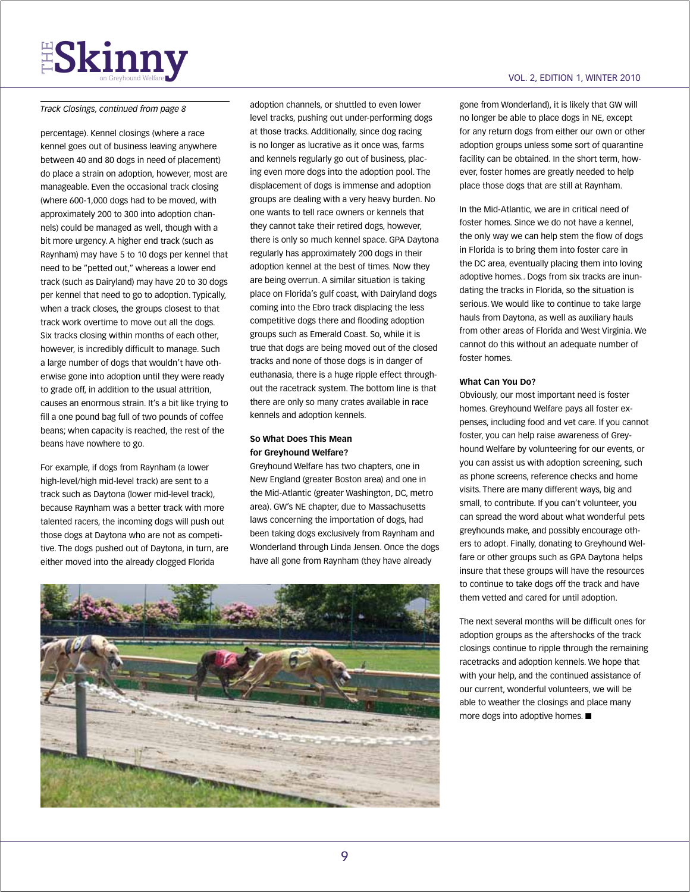# **ESkinny**

#### *Track Closings, continued from page 8*

percentage). Kennel closings (where a race kennel goes out of business leaving anywhere between 40 and 80 dogs in need of placement) do place a strain on adoption, however, most are manageable. Even the occasional track closing (where 600-1,000 dogs had to be moved, with approximately 200 to 300 into adoption channels) could be managed as well, though with a bit more urgency. A higher end track (such as Raynham) may have 5 to 10 dogs per kennel that need to be "petted out," whereas a lower end track (such as Dairyland) may have 20 to 30 dogs per kennel that need to go to adoption. Typically, when a track closes, the groups closest to that track work overtime to move out all the dogs. Six tracks closing within months of each other, however, is incredibly difficult to manage. Such a large number of dogs that wouldn't have otherwise gone into adoption until they were ready to grade off, in addition to the usual attrition, causes an enormous strain. It's a bit like trying to fill a one pound bag full of two pounds of coffee beans; when capacity is reached, the rest of the beans have nowhere to go.

For example, if dogs from Raynham (a lower high-level/high mid-level track) are sent to a track such as Daytona (lower mid-level track), because Raynham was a better track with more talented racers, the incoming dogs will push out those dogs at Daytona who are not as competitive. The dogs pushed out of Daytona, in turn, are either moved into the already clogged Florida

adoption channels, or shuttled to even lower level tracks, pushing out under-performing dogs at those tracks. Additionally, since dog racing is no longer as lucrative as it once was, farms and kennels regularly go out of business, placing even more dogs into the adoption pool. The displacement of dogs is immense and adoption groups are dealing with a very heavy burden. No one wants to tell race owners or kennels that they cannot take their retired dogs, however, there is only so much kennel space. GPA Daytona regularly has approximately 200 dogs in their adoption kennel at the best of times. Now they are being overrun. A similar situation is taking place on Florida's gulf coast, with Dairyland dogs coming into the Ebro track displacing the less competitive dogs there and flooding adoption groups such as Emerald Coast. So, while it is true that dogs are being moved out of the closed tracks and none of those dogs is in danger of euthanasia, there is a huge ripple effect throughout the racetrack system. The bottom line is that there are only so many crates available in race kennels and adoption kennels.

#### **So What Does This Mean for Greyhound Welfare?**

Greyhound Welfare has two chapters, one in New England (greater Boston area) and one in the Mid-Atlantic (greater Washington, DC, metro area). GW's NE chapter, due to Massachusetts laws concerning the importation of dogs, had been taking dogs exclusively from Raynham and Wonderland through Linda Jensen. Once the dogs have all gone from Raynham (they have already



#### vol. 2, edition 1, WINTER 2010

gone from Wonderland), it is likely that GW will no longer be able to place dogs in NE, except for any return dogs from either our own or other adoption groups unless some sort of quarantine facility can be obtained. In the short term, however, foster homes are greatly needed to help place those dogs that are still at Raynham.

In the Mid-Atlantic, we are in critical need of foster homes. Since we do not have a kennel, the only way we can help stem the flow of dogs in Florida is to bring them into foster care in the DC area, eventually placing them into loving adoptive homes.. Dogs from six tracks are inundating the tracks in Florida, so the situation is serious. We would like to continue to take large hauls from Daytona, as well as auxiliary hauls from other areas of Florida and West Virginia. We cannot do this without an adequate number of foster homes.

#### **What Can You Do?**

Obviously, our most important need is foster homes. Greyhound Welfare pays all foster expenses, including food and vet care. If you cannot foster, you can help raise awareness of Greyhound Welfare by volunteering for our events, or you can assist us with adoption screening, such as phone screens, reference checks and home visits. There are many different ways, big and small, to contribute. If you can't volunteer, you can spread the word about what wonderful pets greyhounds make, and possibly encourage others to adopt. Finally, donating to Greyhound Welfare or other groups such as GPA Daytona helps insure that these groups will have the resources to continue to take dogs off the track and have them vetted and cared for until adoption.

The next several months will be difficult ones for adoption groups as the aftershocks of the track closings continue to ripple through the remaining racetracks and adoption kennels. We hope that with your help, and the continued assistance of our current, wonderful volunteers, we will be able to weather the closings and place many more dogs into adoptive homes.  $\blacksquare$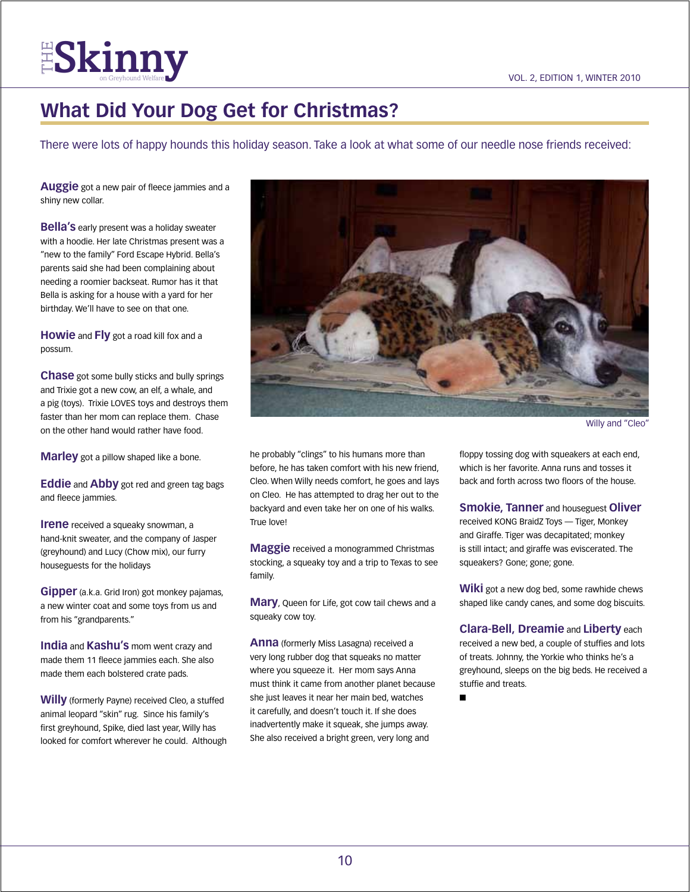**FISKINNY**<br>The Skinney on Greyhound Welfare **V** 

## **What Did Your Dog Get for Christmas?**

There were lots of happy hounds this holiday season. Take a look at what some of our needle nose friends received:

**Auggie** got a new pair of fleece jammies and a shiny new collar.

**Bella's** early present was a holiday sweater with a hoodie. Her late Christmas present was a "new to the family" Ford Escape Hybrid. Bella's parents said she had been complaining about needing a roomier backseat. Rumor has it that Bella is asking for a house with a yard for her birthday. We'll have to see on that one.

**Howie** and **Fly** got a road kill fox and a possum.

**Chase** got some bully sticks and bully springs and Trixie got a new cow, an elf, a whale, and a pig (toys). Trixie LOVES toys and destroys them faster than her mom can replace them. Chase on the other hand would rather have food.

**Marley** got a pillow shaped like a bone.

**Eddie** and **Abby** got red and green tag bags and fleece jammies.

**Irene** received a squeaky snowman, a hand-knit sweater, and the company of Jasper (greyhound) and Lucy (Chow mix), our furry houseguests for the holidays

**Gipper** (a.k.a. Grid Iron) got monkey pajamas, a new winter coat and some toys from us and from his "grandparents."

**India** and **Kashu's** mom went crazy and made them 11 fleece jammies each. She also made them each bolstered crate pads.

**Willy** (formerly Payne) received Cleo, a stuffed animal leopard "skin" rug. Since his family's first greyhound, Spike, died last year, Willy has looked for comfort wherever he could. Although



Willy and "Cleo"

he probably "clings" to his humans more than before, he has taken comfort with his new friend, Cleo. When Willy needs comfort, he goes and lays on Cleo. He has attempted to drag her out to the backyard and even take her on one of his walks. True love!

**Maggie** received a monogrammed Christmas stocking, a squeaky toy and a trip to Texas to see family.

**Mary**, Queen for Life, got cow tail chews and a squeaky cow toy.

**Anna** (formerly Miss Lasagna) received a very long rubber dog that squeaks no matter where you squeeze it. Her mom says Anna must think it came from another planet because she just leaves it near her main bed, watches it carefully, and doesn't touch it. If she does inadvertently make it squeak, she jumps away. She also received a bright green, very long and

floppy tossing dog with squeakers at each end, which is her favorite. Anna runs and tosses it back and forth across two floors of the house.

**Smokie, Tanner** and houseguest **Oliver** received KONG BraidZ Toys — Tiger, Monkey and Giraffe. Tiger was decapitated; monkey is still intact; and giraffe was eviscerated. The squeakers? Gone; gone; gone.

**Wiki** got a new dog bed, some rawhide chews shaped like candy canes, and some dog biscuits.

**Clara-Bell, Dreamie** and **Liberty** each received a new bed, a couple of stuffies and lots of treats. Johnny, the Yorkie who thinks he's a greyhound, sleeps on the big beds. He received a stuffie and treats.

n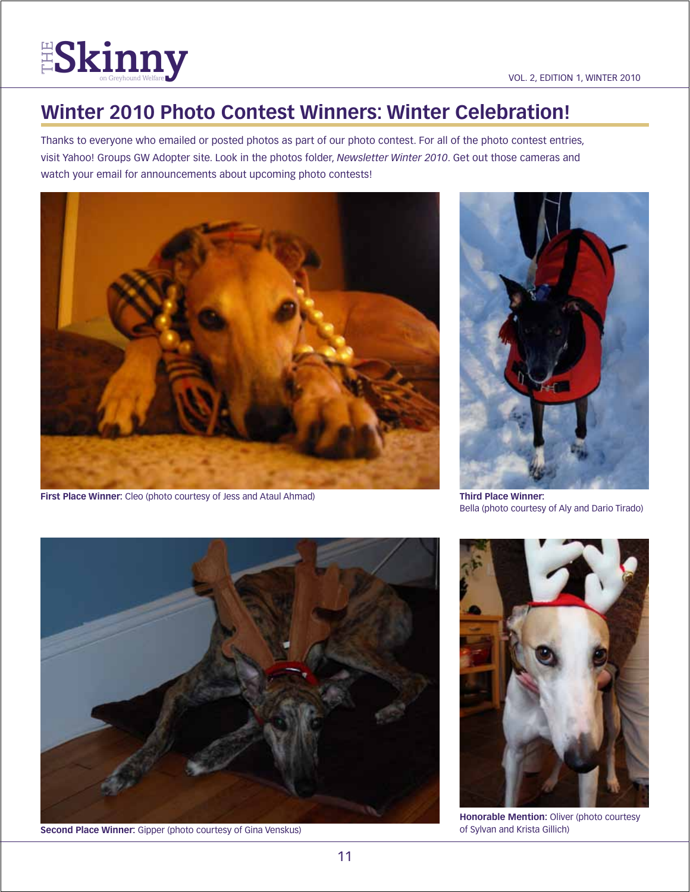

## **Winter 2010 Photo Contest Winners: Winter Celebration!**

Thanks to everyone who emailed or posted photos as part of our photo contest. For all of the photo contest entries, visit Yahoo! Groups GW Adopter site. Look in the photos folder, *Newsletter Winter 2010*. Get out those cameras and watch your email for announcements about upcoming photo contests!



**First Place Winner:** Cleo (photo courtesy of Jess and Ataul Ahmad)



**Third Place Winner:** Bella (photo courtesy of Aly and Dario Tirado)



**Second Place Winner:** Gipper (photo courtesy of Gina Venskus)



**Honorable Mention:** Oliver (photo courtesy of Sylvan and Krista Gillich)